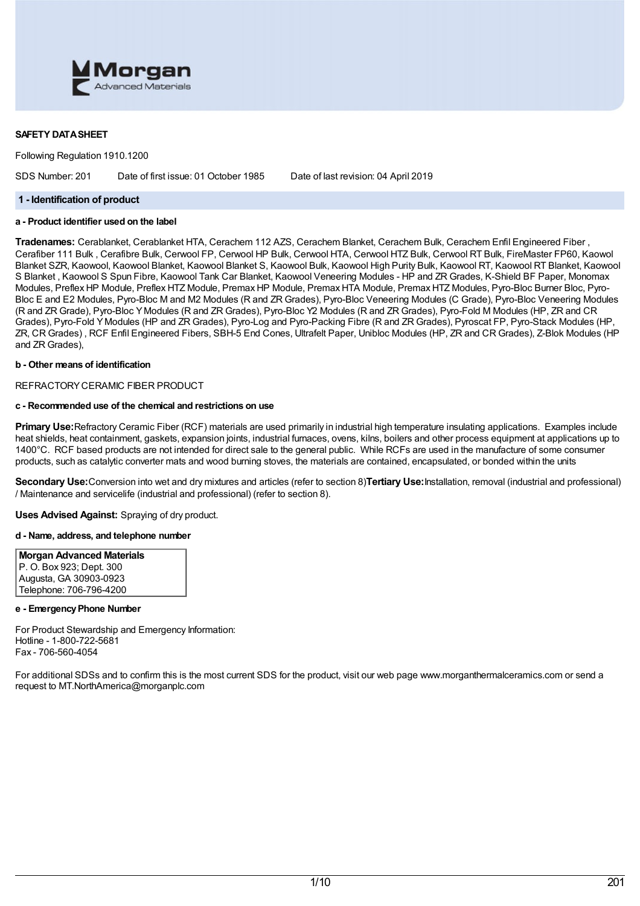

## **SAFETY DATASHEET**

Following Regulation 1910.1200

SDS Number: 201 Date of first issue: 01 October 1985 Date of last revision: 04 April 2019

### **1 - Identification of product**

# **a - Product identifier used on the label**

**Tradenames:** Cerablanket, Cerablanket HTA, Cerachem 112 AZS, Cerachem Blanket, Cerachem Bulk, Cerachem Enfil Engineered Fiber , Cerafiber 111 Bulk , Cerafibre Bulk, Cerwool FP, Cerwool HP Bulk, Cerwool HTA, Cerwool HTZ Bulk, Cerwool RT Bulk, FireMaster FP60, Kaowol Blanket SZR, Kaowool, Kaowool Blanket, Kaowool Blanket S, Kaowool Bulk, Kaowool High Purity Bulk, Kaowool RT, Kaowool RT Blanket, Kaowool S Blanket , Kaowool S Spun Fibre, Kaowool Tank Car Blanket, Kaowool Veneering Modules - HP and ZR Grades, K-Shield BF Paper, Monomax Modules, Preflex HP Module, Preflex HTZ Module, Premax HP Module, Premax HTA Module, Premax HTZ Modules, Pyro-Bloc Burner Bloc, Pyro-Bloc E and E2 Modules, Pyro-Bloc M and M2 Modules (R and ZR Grades), Pyro-Bloc Veneering Modules (C Grade), Pyro-Bloc Veneering Modules (R and ZR Grade), Pyro-Bloc YModules (R and ZR Grades), Pyro-Bloc Y2 Modules (R and ZR Grades), Pyro-Fold M Modules (HP, ZR and CR Grades), Pyro-Fold YModules (HP and ZR Grades), Pyro-Log and Pyro-Packing Fibre (R and ZR Grades), Pyroscat FP, Pyro-Stack Modules (HP, ZR, CR Grades) , RCF Enfil Engineered Fibers, SBH-5 End Cones, Ultrafelt Paper, Unibloc Modules (HP, ZR and CR Grades), Z-Blok Modules (HP and ZR Grades),

## **b - Other means of identification**

### REFRACTORYCERAMIC FIBER PRODUCT

## **c - Recommended use of the chemical and restrictions on use**

**Primary Use:**Refractory Ceramic Fiber (RCF) materials are used primarily in industrial high temperature insulating applications. Examples include heat shields, heat containment, gaskets, expansion joints, industrial furnaces, ovens, kilns, boilers and other process equipment at applications up to 1400°C. RCF based products are not intended for direct sale to the general public. While RCFs are used in the manufacture of some consumer products, such as catalytic converter mats and wood burning stoves, the materials are contained, encapsulated, or bonded within the units

**Secondary Use:**Conversion into wet and dry mixtures and articles (refer to section 8)**Tertiary Use:**Installation, removal (industrial and professional) / Maintenance and servicelife (industrial and professional) (refer to section 8).

**Uses Advised Against:** Spraying of dry product.

### **d - Name, address, and telephone number**

**Morgan Advanced Materials** P. O. Box 923; Dept. 300 Augusta, GA 30903-0923 Telephone: 706-796-4200

### **e - EmergencyPhone Number**

For Product Stewardship and Emergency Information: Hotline - 1-800-722-5681 Fax - 706-560-4054

For additional SDSs and to confirm this is the most current SDS for the product, visit our web page www.morganthermalceramics.com or send a request to MT.NorthAmerica@morganplc.com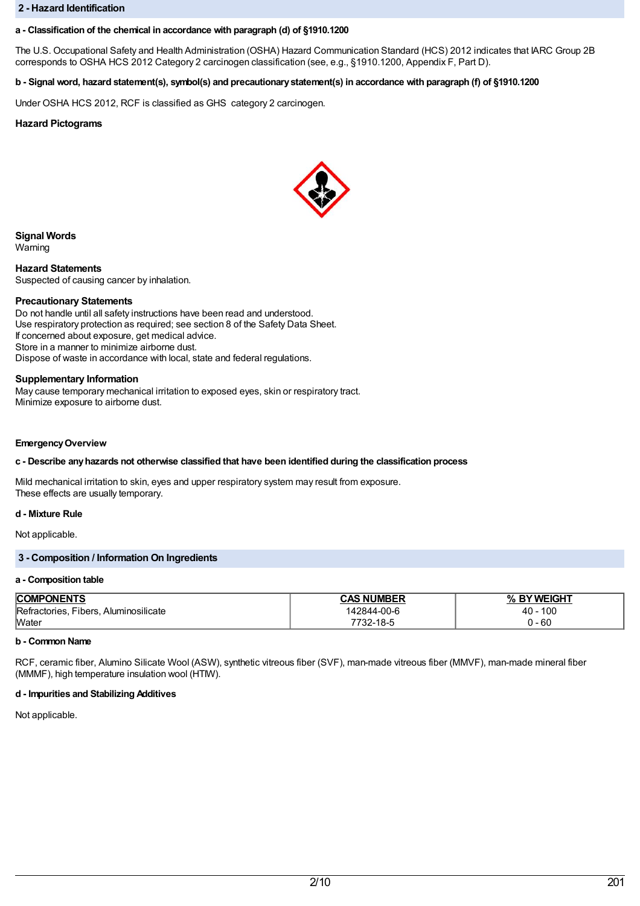### **2 - Hazard Identification**

## **a - Classification of the chemical in accordance with paragraph (d) of §1910.1200**

The U.S. Occupational Safety and Health Administration (OSHA) Hazard Communication Standard (HCS) 2012 indicates that IARC Group 2B corresponds to OSHA HCS 2012 Category 2 carcinogen classification (see, e.g., §1910.1200, Appendix F, Part D).

# b - Signal word, hazard statement(s), symbol(s) and precautionary statement(s) in accordance with paragraph (f) of §1910.1200

Under OSHA HCS 2012, RCF is classified as GHS category 2 carcinogen.

# **Hazard Pictograms**



**Signal Words**

Warning

**Hazard Statements** Suspected of causing cancer by inhalation.

### **Precautionary Statements**

Do not handle until all safety instructions have been read and understood. Use respiratory protection as required; see section 8 of the Safety Data Sheet. If concerned about exposure, get medical advice. Store in a manner to minimize airborne dust. Dispose of waste in accordance with local, state and federal regulations.

### **Supplementary Information**

May cause temporary mechanical irritation to exposed eyes, skin or respiratory tract. Minimize exposure to airborne dust.

### **EmergencyOverview**

## **c - Describe anyhazards not otherwise classified that have been identified during the classification process**

Mild mechanical irritation to skin, eyes and upper respiratory system may result from exposure. These effects are usually temporary.

## **d - Mixture Rule**

Not applicable.

# **3 - Composition / Information On Ingredients**

### **a - Composition table**

| PONENTS<br><b>COMP</b>                        | <b>NUMBER</b><br>. אמי | 'WEIGHT<br>$O_{\Lambda}$ |
|-----------------------------------------------|------------------------|--------------------------|
| Fibers.<br>Refractories.<br>. Aluminosilicate | 42844-00-6             | 100<br>40                |
| <b>Water</b>                                  | 18-L<br>-34            | - 60                     |

## **b - Common Name**

RCF, ceramic fiber, Alumino Silicate Wool (ASW), synthetic vitreous fiber (SVF), man-made vitreous fiber (MMVF), man-made mineral fiber (MMMF), high temperature insulation wool (HTIW).

### **d - Impurities and Stabilizing Additives**

Not applicable.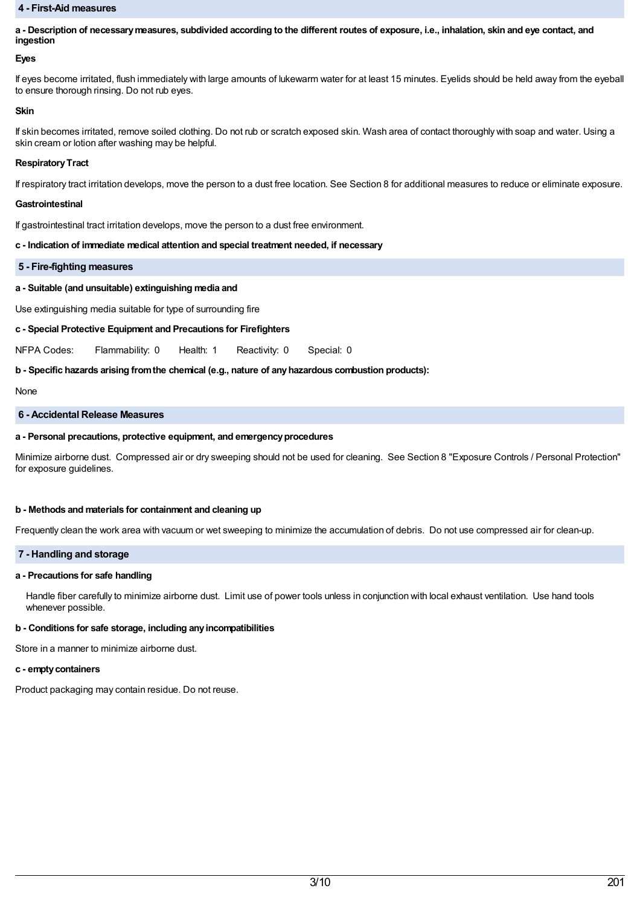### **4 - First-Aid measures**

a - Description of necessary measures, subdivided according to the different routes of exposure, i.e., inhalation, skin and eye contact, and **ingestion**

## **Eyes**

If eyes become irritated, flush immediately with large amounts of lukewarm water for at least 15 minutes. Eyelids should be held away from the eyeball to ensure thorough rinsing. Do not rub eyes.

### **Skin**

If skin becomes irritated, remove soiled clothing. Do not rub or scratch exposed skin. Wash area of contact thoroughly with soap and water. Using a skin cream or lotion after washing may be helpful.

### **Respiratory Tract**

If respiratory tract irritation develops, move the person to a dust free location. See Section 8 for additional measures to reduce or eliminate exposure.

### **Gastrointestinal**

If gastrointestinal tract irritation develops, move the person to a dust free environment.

## **c - Indication of immediate medical attention and special treatment needed, if necessary**

## **5 - Fire-fighting measures**

# **a - Suitable (and unsuitable) extinguishing media and**

Use extinguishing media suitable for type of surrounding fire

## **c - Special Protective Equipment and Precautions for Firefighters**

NFPA Codes: Flammability: 0 Health: 1 Reactivity: 0 Special: 0

## **b - Specific hazards arising fromthe chemical (e.g., nature of anyhazardous combustion products):**

None

### **6 - Accidental Release Measures**

## **a - Personal precautions, protective equipment, and emergencyprocedures**

Minimize airborne dust. Compressed air or dry sweeping should not be used for cleaning. See Section 8 "Exposure Controls / Personal Protection" for exposure guidelines.

## **b - Methods and materials for containment and cleaning up**

Frequently clean the work area with vacuum or wet sweeping to minimize the accumulation of debris. Do not use compressed air for clean-up.

## **7 - Handling and storage**

# **a - Precautions for safe handling**

Handle fiber carefully to minimize airborne dust. Limit use of power tools unless in conjunction with local exhaust ventilation. Use hand tools whenever possible.

## **b - Conditions for safe storage, including anyincompatibilities**

Store in a manner to minimize airborne dust.

### **c - emptycontainers**

Product packaging may contain residue. Do not reuse.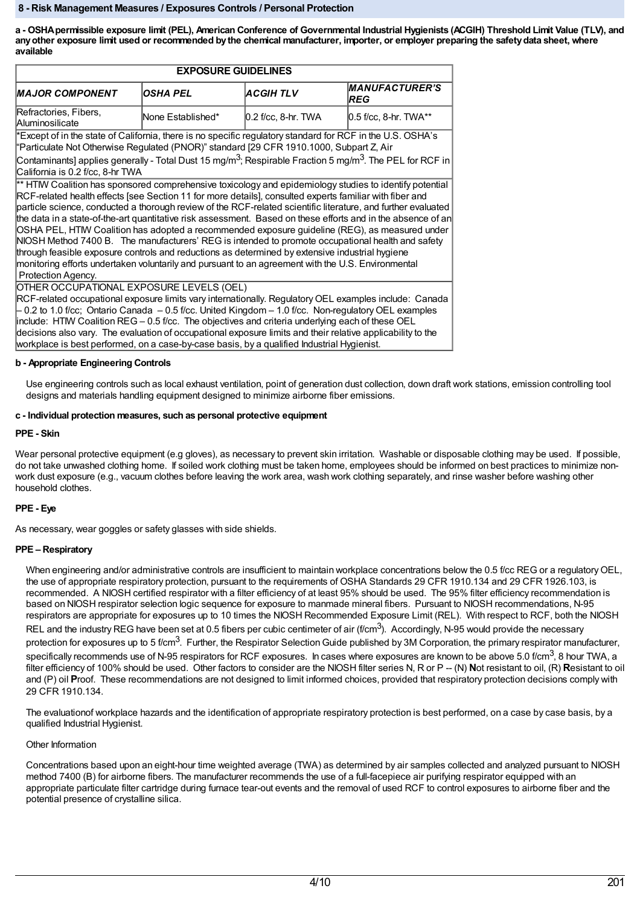### **8 - Risk Management Measures / Exposures Controls / Personal Protection**

a - OSHA permissible exposure limit (PEL), American Conference of Governmental Industrial Hygienists (ACGIH) Threshold Limit Value (TLV), and any other exposure limit used or recommended by the chemical manufacturer, importer, or employer preparing the safety data sheet, where **available**

| <b>EXPOSURE GUIDELINES</b>                                                                                                                                                                                                                                                                                                                                                                                                                                                                                                                                                                                                                                                                                                                                                                                                                                                               |                   |                       |                                      |  |
|------------------------------------------------------------------------------------------------------------------------------------------------------------------------------------------------------------------------------------------------------------------------------------------------------------------------------------------------------------------------------------------------------------------------------------------------------------------------------------------------------------------------------------------------------------------------------------------------------------------------------------------------------------------------------------------------------------------------------------------------------------------------------------------------------------------------------------------------------------------------------------------|-------------------|-----------------------|--------------------------------------|--|
| <b>MAJOR COMPONENT</b>                                                                                                                                                                                                                                                                                                                                                                                                                                                                                                                                                                                                                                                                                                                                                                                                                                                                   | <b>OSHA PEL</b>   | <b>ACGIHTLV</b>       | <b>MANUFACTURER'S</b><br><b>IREG</b> |  |
| Refractories, Fibers,<br><b>Aluminosilicate</b>                                                                                                                                                                                                                                                                                                                                                                                                                                                                                                                                                                                                                                                                                                                                                                                                                                          | None Established* | $0.2$ f/cc, 8-hr. TWA | $0.5$ f/cc, 8-hr. TWA**              |  |
| Except of in the state of California, there is no specific regulatory standard for RCF in the U.S. OSHA's<br>"Particulate Not Otherwise Regulated (PNOR)" standard [29 CFR 1910.1000, Subpart Z, Air                                                                                                                                                                                                                                                                                                                                                                                                                                                                                                                                                                                                                                                                                     |                   |                       |                                      |  |
| Contaminants] applies generally - Total Dust 15 mg/m <sup>3</sup> ; Respirable Fraction 5 mg/m <sup>3</sup> . The PEL for RCF in<br>California is 0.2 f/cc, 8-hr TWA                                                                                                                                                                                                                                                                                                                                                                                                                                                                                                                                                                                                                                                                                                                     |                   |                       |                                      |  |
| ** HTM Coalition has sponsored comprehensive toxicology and epidemiology studies to identify potential<br>RCF-related health effects [see Section 11 for more details], consulted experts familiar with fiber and<br>particle science, conducted a thorough review of the RCF-related scientific literature, and further evaluated<br>the data in a state-of-the-art quantitative risk assessment. Based on these efforts and in the absence of an<br>OSHA PEL, HTIW Coalition has adopted a recommended exposure guideline (REG), as measured under<br>NIOSH Method 7400 B. The manufacturers' REG is intended to promote occupational health and safety<br>through feasible exposure controls and reductions as determined by extensive industrial hygiene<br>monitoring efforts undertaken voluntarily and pursuant to an agreement with the U.S. Environmental<br>Protection Agency. |                   |                       |                                      |  |
| OTHER OCCUPATIONAL EXPOSURE LEVELS (OEL)<br>RCF-related occupational exposure limits vary internationally. Regulatory OEL examples include: Canada<br>- 0.2 to 1.0 f/cc; Ontario Canada - 0.5 f/cc. United Kingdom - 1.0 f/cc. Non-regulatory OEL examples<br>include: HTMV Coalition REG - 0.5 f/cc. The objectives and criteria underlying each of these OEL<br>decisions also vary. The evaluation of occupational exposure limits and their relative applicability to the<br>workplace is best performed, on a case-by-case basis, by a qualified Industrial Hygienist.                                                                                                                                                                                                                                                                                                              |                   |                       |                                      |  |

# **b - Appropriate Engineering Controls**

Use engineering controls such as local exhaust ventilation, point of generation dust collection, down draft work stations, emission controlling tool designs and materials handling equipment designed to minimize airborne fiber emissions.

## **c - Individual protection measures, such as personal protective equipment**

## **PPE - Skin**

Wear personal protective equipment (e.g gloves), as necessary to prevent skin irritation. Washable or disposable clothing may be used. If possible. do not take unwashed clothing home. If soiled work clothing must be taken home, employees should be informed on best practices to minimize nonwork dust exposure (e.g., vacuum clothes before leaving the work area, wash work clothing separately, and rinse washer before washing other household clothes.

## **PPE - Eye**

As necessary, wear goggles or safety glasses with side shields.

## **PPE – Respiratory**

When engineering and/or administrative controls are insufficient to maintain workplace concentrations below the 0.5 f/cc REG or a regulatory OEL, the use of appropriate respiratory protection, pursuant to the requirements of OSHA Standards 29 CFR 1910.134 and 29 CFR 1926.103, is recommended. A NIOSH certified respirator with a filter efficiency of at least 95% should be used. The 95% filter efficiency recommendation is based on NIOSH respirator selection logic sequence for exposure to manmade mineral fibers. Pursuant to NIOSH recommendations, N-95 respirators are appropriate for exposures up to 10 times the NIOSH Recommended Exposure Limit (REL). With respect to RCF, both the NIOSH REL and the industry REG have been set at 0.5 fibers per cubic centimeter of air (f/cm<sup>3</sup>). Accordingly, N-95 would provide the necessary protection for exposures up to 5 f/cm<sup>3</sup>. Further, the Respirator Selection Guide published by 3M Corporation, the primary respirator manufacturer, specifically recommends use of N-95 respirators for RCF exposures. In cases where exposures are known to be above 5.0 f/cm $^3$ , 8 hour TWA, a filter efficiency of 100% should be used. Other factors to consider are the NIOSH filter series N, R or P -- (N) Not resistant to oil, (R) Resistant to oil and (P) oil **P**roof. These recommendations are not designed to limit informed choices, provided that respiratory protection decisions comply with 29 CFR 1910.134.

The evaluationof workplace hazards and the identification of appropriate respiratory protection is best performed, on a case by case basis, by a qualified Industrial Hygienist.

## Other Information

Concentrations based upon an eight-hour time weighted average (TWA) as determined by air samples collected and analyzed pursuant to NIOSH method 7400 (B) for airborne fibers. The manufacturer recommends the use of a full-facepiece air purifying respirator equipped with an appropriate particulate filter cartridge during furnace tear-out events and the removal of used RCF to control exposures to airborne fiber and the potential presence of crystalline silica.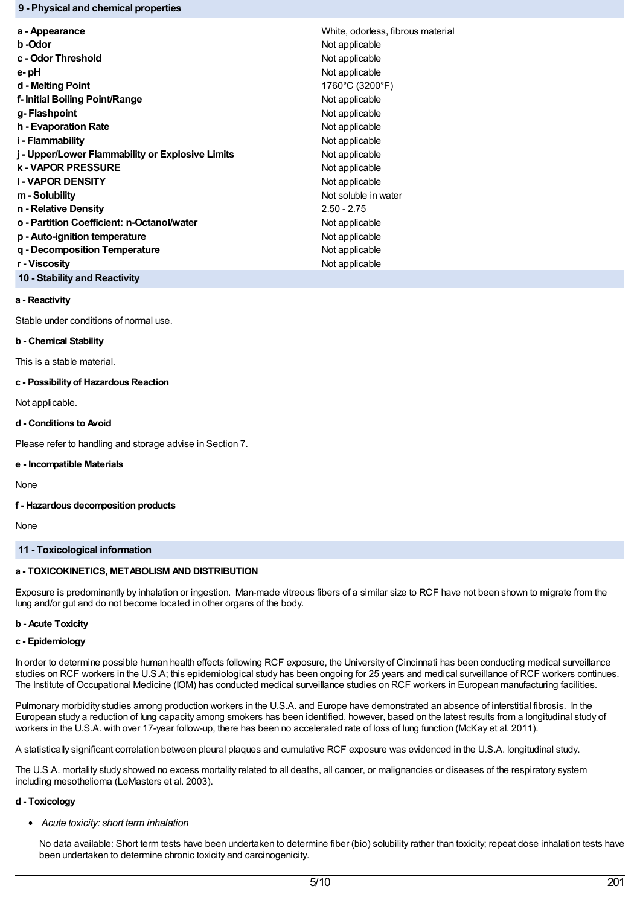## **9 - Physical and chemical properties**

| a - Appearance                                   | White, odorless, fibrous material |
|--------------------------------------------------|-----------------------------------|
| b -Odor                                          | Not applicable                    |
| c - Odor Threshold                               | Not applicable                    |
| e- pH                                            | Not applicable                    |
| d - Melting Point                                | 1760°C (3200°F)                   |
| f- Initial Boiling Point/Range                   | Not applicable                    |
| g- Flashpoint                                    | Not applicable                    |
| h - Evaporation Rate                             | Not applicable                    |
| i - Flammability                                 | Not applicable                    |
| j - Upper/Lower Flammability or Explosive Limits | Not applicable                    |
| <b>k - VAPOR PRESSURE</b>                        | Not applicable                    |
| <b>I-VAPOR DENSITY</b>                           | Not applicable                    |
| m - Solubility                                   | Not soluble in water              |
| n - Relative Density                             | $2.50 - 2.75$                     |
| o - Partition Coefficient: n-Octanol/water       | Not applicable                    |
| p - Auto-ignition temperature                    | Not applicable                    |
| g - Decomposition Temperature                    | Not applicable                    |
| r - Viscosity                                    | Not applicable                    |
|                                                  |                                   |

**a - Reactivity**

Stable under conditions of normal use.

**10 - Stability and Reactivity**

## **b - Chemical Stability**

This is a stable material.

## **c - Possibilityof Hazardous Reaction**

Not applicable.

# **d - Conditions to Avoid**

Please refer to handling and storage advise in Section 7.

## **e - Incompatible Materials**

None

## **f - Hazardous decomposition products**

None

## **11 - Toxicological information**

# **a - TOXICOKINETICS, METABOLISM AND DISTRIBUTION**

Exposure is predominantly by inhalation or ingestion. Man-made vitreous fibers of a similar size to RCF have not been shown to migrate from the lung and/or gut and do not become located in other organs of the body.

# **b - Acute Toxicity**

## **c - Epidemiology**

In order to determine possible human health effects following RCF exposure, the University of Cincinnati has been conducting medical surveillance studies on RCF workers in the U.S.A; this epidemiological study has been ongoing for 25 years and medical surveillance of RCF workers continues. The Institute of Occupational Medicine (IOM) has conducted medical surveillance studies on RCF workers in European manufacturing facilities.

Pulmonary morbidity studies among production workers in the U.S.A. and Europe have demonstrated an absence of interstitial fibrosis. In the European study a reduction of lung capacity among smokers has been identified, however, based on the latest results from a longitudinal study of workers in the U.S.A. with over 17-year follow-up, there has been no accelerated rate of loss of lung function (McKay et al. 2011).

A statistically significant correlation between pleural plaques and cumulative RCF exposure was evidenced in the U.S.A. longitudinal study.

The U.S.A. mortality study showed no excess mortality related to all deaths, all cancer, or malignancies or diseases of the respiratory system including mesothelioma (LeMasters et al. 2003).

## **d - Toxicology**

*Acute toxicity: short term inhalation*

No data available: Short term tests have been undertaken to determine fiber (bio) solubility rather than toxicity; repeat dose inhalation tests have been undertaken to determine chronic toxicity and carcinogenicity.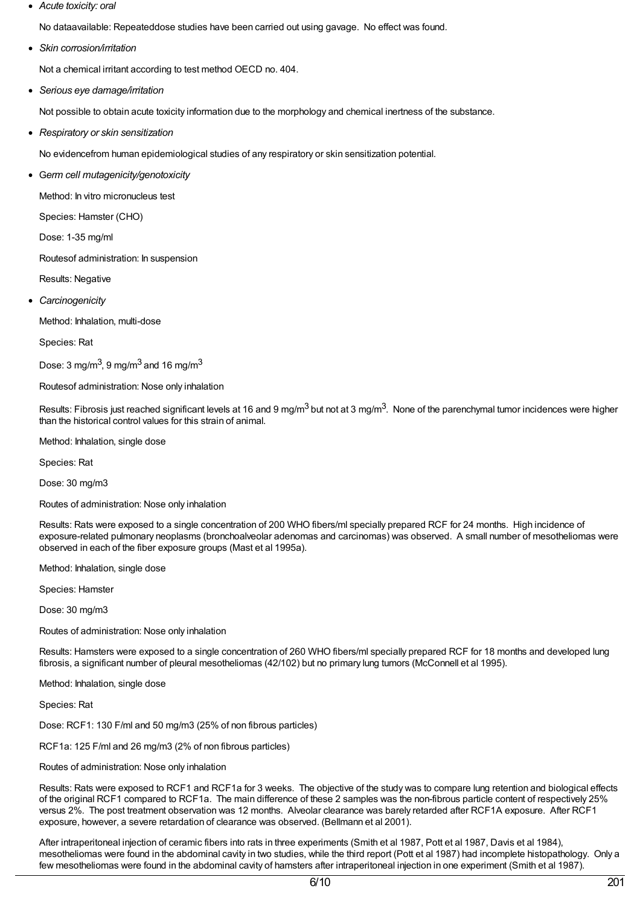*Acute toxicity: oral*

No dataavailable: Repeateddose studies have been carried out using gavage. No effect was found.

*Skin corrosion/irritation*

Not a chemical irritant according to test method OECD no. 404.

*Serious eye damage/irritation*

Not possible to obtain acute toxicity information due to the morphology and chemical inertness of the substance.

*Respiratory or skin sensitization*

No evidencefrom human epidemiological studies of any respiratory or skin sensitization potential.

G*erm cell mutagenicity/genotoxicity*

Method: In vitro micronucleus test

Species: Hamster (CHO)

Dose: 1-35 mg/ml

Routesof administration: In suspension

Results: Negative

*Carcinogenicity*

Method: Inhalation, multi-dose

Species: Rat

Dose: 3 mg/m $^3$ , 9 mg/m $^3$  and 16 mg/m $^3$ 

Routesof administration: Nose only inhalation

Results: Fibrosis just reached significant levels at 16 and 9 mg/m<sup>3</sup> but not at 3 mg/m<sup>3</sup>. None of the parenchymal tumor incidences were higher than the historical control values for this strain of animal.

Method: Inhalation, single dose

Species: Rat

Dose: 30 mg/m3

Routes of administration: Nose only inhalation

Results: Rats were exposed to a single concentration of 200 WHO fibers/ml specially prepared RCF for 24 months. High incidence of exposure-related pulmonary neoplasms (bronchoalveolar adenomas and carcinomas) was observed. A small number of mesotheliomas were observed in each of the fiber exposure groups (Mast et al 1995a).

Method: Inhalation, single dose

Species: Hamster

Dose: 30 mg/m3

Routes of administration: Nose only inhalation

Results: Hamsters were exposed to a single concentration of 260 WHO fibers/ml specially prepared RCF for 18 months and developed lung fibrosis, a significant number of pleural mesotheliomas (42/102) but no primary lung tumors (McConnell et al 1995).

Method: Inhalation, single dose

Species: Rat

Dose: RCF1: 130 F/ml and 50 mg/m3 (25% of non fibrous particles)

RCF1a: 125 F/ml and 26 mg/m3 (2% of non fibrous particles)

Routes of administration: Nose only inhalation

Results: Rats were exposed to RCF1 and RCF1a for 3 weeks. The objective of the study was to compare lung retention and biological effects of the original RCF1 compared to RCF1a. The main difference of these 2 samples was the non-fibrous particle content of respectively 25% versus 2%. The post treatment observation was 12 months. Alveolar clearance was barely retarded after RCF1A exposure. After RCF1 exposure, however, a severe retardation of clearance was observed. (Bellmann et al 2001).

After intraperitoneal injection of ceramic fibers into rats in three experiments (Smith et al 1987, Pott et al 1987, Davis et al 1984), mesotheliomas were found in the abdominal cavity in two studies, while the third report (Pott et al 1987) had incomplete histopathology. Only a few mesotheliomas were found in the abdominal cavity of hamsters after intraperitoneal injection in one experiment (Smith et al 1987).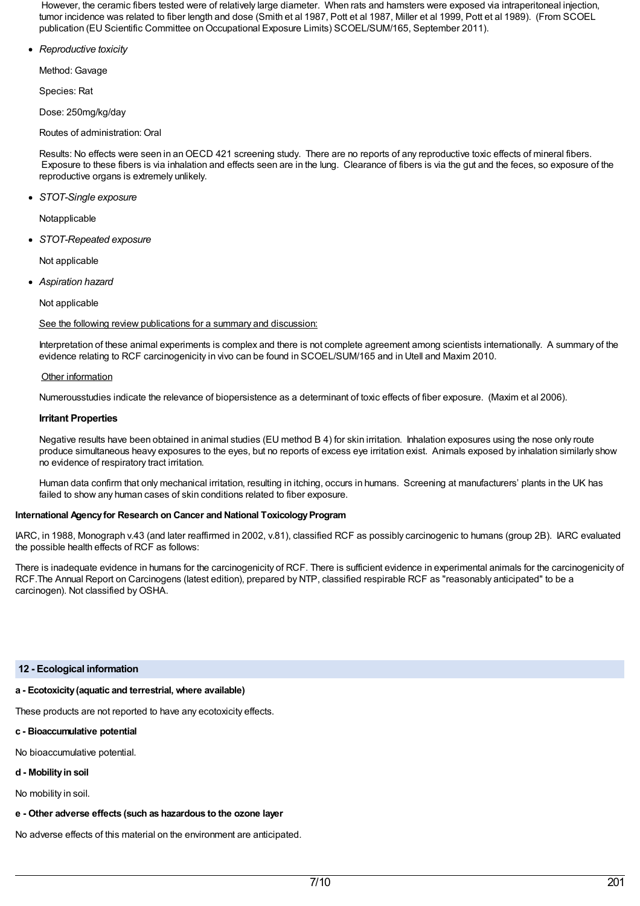However, the ceramic fibers tested were of relatively large diameter. When rats and hamsters were exposed via intraperitoneal injection, tumor incidence was related to fiber length and dose (Smith et al 1987, Pott et al 1987, Miller et al 1999, Pott et al 1989). (From SCOEL publication (EU Scientific Committee on Occupational Exposure Limits) SCOEL/SUM/165, September 2011).

*Reproductive toxicity*

Method: Gavage

Species: Rat

Dose: 250mg/kg/day

Routes of administration: Oral

Results: No effects were seen in anOECD 421 screening study. There are no reports of any reproductive toxic effects of mineral fibers. Exposure to these fibers is via inhalation and effects seen are in the lung. Clearance of fibers is via the gut and the feces, so exposure of the reproductive organs is extremely unlikely.

*STOT-Single exposure*

Notapplicable

*STOT-Repeated exposure*

Not applicable

*Aspiration hazard*

Not applicable

See the following review publications for a summary and discussion:

Interpretation of these animal experiments is complex and there is not complete agreement among scientists internationally. A summary of the evidence relating to RCF carcinogenicity in vivo can be found in SCOEL/SUM/165 and in Utell and Maxim 2010.

# Other information

Numerousstudies indicate the relevance of biopersistence as a determinant of toxic effects of fiber exposure. (Maxim et al 2006).

# **Irritant Properties**

Negative results have been obtained in animal studies (EU method B 4) for skin irritation. Inhalation exposures using the nose only route produce simultaneous heavy exposures to the eyes, but no reports of excess eye irritation exist. Animals exposed by inhalation similarly show no evidence of respiratory tract irritation.

Human data confirm that only mechanical irritation, resulting in itching, occurs in humans. Screening at manufacturers' plants in the UK has failed to show any human cases of skin conditions related to fiber exposure.

# **International Agency for Research on Cancer and National Toxicology Program**

IARC, in 1988, Monograph v.43 (and later reaffirmed in 2002, v.81), classified RCF as possibly carcinogenic to humans (group 2B). IARC evaluated the possible health effects of RCF as follows:

There is inadequate evidence in humans for the carcinogenicity of RCF. There is sufficient evidence in experimental animals for the carcinogenicity of RCF.The Annual Report on Carcinogens (latest edition), prepared by NTP, classified respirable RCF as "reasonably anticipated" to be a carcinogen). Not classified byOSHA.

## **12 - Ecological information**

# **a - Ecotoxicity(aquatic and terrestrial, where available)**

These products are not reported to have any ecotoxicity effects.

- **c - Bioaccumulative potential**
- No bioaccumulative potential.
- **d - Mobilityin soil**

No mobility in soil.

**e - Other adverse effects (such as hazardous to the ozone layer**

No adverse effects of this material on the environment are anticipated.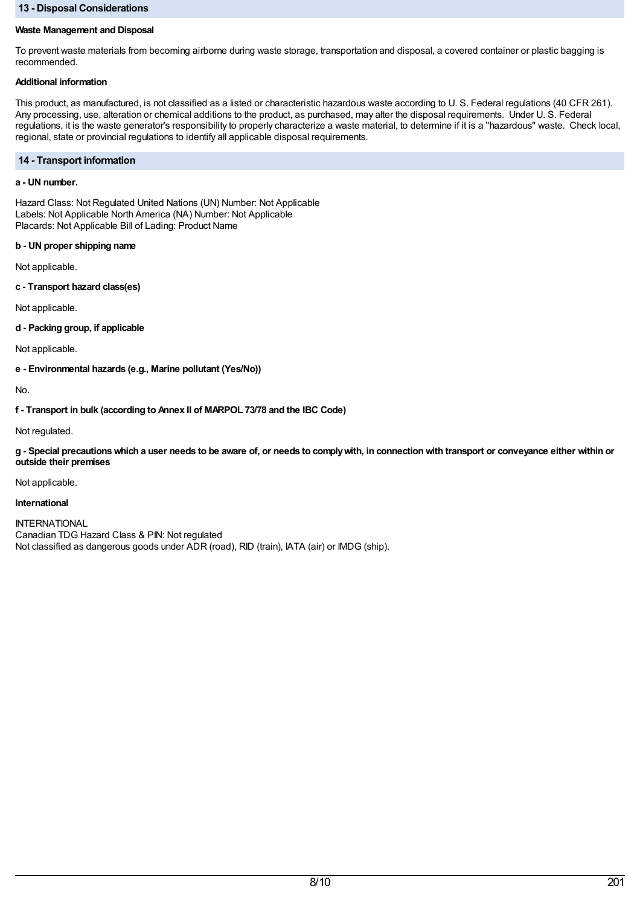## **13 - Disposal Considerations**

## **Waste Management and Disposal**

To prevent waste materials from becoming airborne during waste storage, transportation and disposal, a covered container or plastic bagging is recommended.

# **Additional information**

This product, as manufactured, is not classified as a listed or characteristic hazardous waste according to U. S. Federal regulations (40 CFR 261). Any processing, use, alteration or chemical additions to the product, as purchased, may alter the disposal requirements. Under U. S. Federal regulations, it is the waste generator's responsibility to properly characterize a waste material, to determine if it is a "hazardous" waste. Check local, regional, state or provincial regulations to identify all applicable disposal requirements.

# **14 - Transport information**

# **a - UN number.**

Hazard Class: Not Regulated United Nations (UN) Number: Not Applicable Labels: Not Applicable North America (NA) Number: Not Applicable Placards: Not Applicable Bill of Lading: Product Name

# **b - UN proper shipping name**

Not applicable.

**c - Transport hazard class(es)**

Not applicable.

**d - Packing group, if applicable**

Not applicable.

**e - Environmental hazards (e.g., Marine pollutant (Yes/No))**

No.

**f - Transport in bulk (according to Annex II of MARPOL 73/78 and the IBC Code)**

Not regulated.

g - Special precautions which a user needs to be aware of, or needs to comply with, in connection with transport or conveyance either within or **outside their premises**

Not applicable.

## **International**

INTERNATIONAL Canadian TDG Hazard Class & PIN: Not regulated Not classified as dangerous goods under ADR (road), RID (train), IATA (air) or IMDG (ship).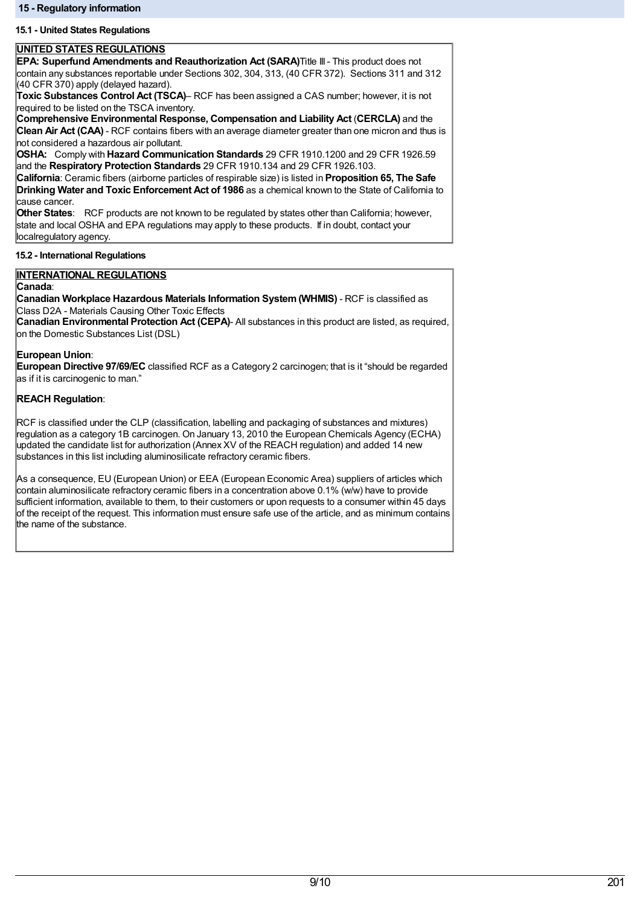# **15.1 - United States Regulations**

# **UNITED STATES REGULATIONS**

**EPA: Superfund Amendments and Reauthorization Act (SARA)**Title III- This product does not contain any substances reportable under Sections 302, 304, 313, (40 CFR 372). Sections 311 and 312 (40 CFR 370) apply (delayed hazard).

**Toxic Substances Control Act (TSCA)**– RCF has been assigned a CAS number; however, it is not required to be listed on the TSCA inventory.

**Comprehensive Environmental Response, Compensation and Liability Act** (**CERCLA)** and the **Clean Air Act (CAA)** - RCF contains fibers with an average diameter greater than one micron and thus is not considered a hazardous air pollutant.

**OSHA:** Comply with **Hazard Communication Standards** 29 CFR 1910.1200 and 29 CFR 1926.59 and the **Respiratory Protection Standards** 29 CFR 1910.134 and 29 CFR 1926.103.

**California**: Ceramic fibers (airborne particles of respirable size) is listed in **Proposition 65, The Safe Drinking Water and Toxic Enforcement Act of 1986** as a chemical known to the State of California to cause cancer.

**Other States**: RCF products are not known to be regulated by states other than California; however, state and local OSHA and EPA regulations may apply to these products. If in doubt, contact your localregulatory agency.

# **15.2 - International Regulations**

# **INTERNATIONAL REGULATIONS**

## **Canada**:

**Canadian Workplace Hazardous Materials Information System(WHMIS)** - RCF is classified as Class D2A - Materials Causing Other Toxic Effects

**Canadian Environmental Protection Act (CEPA)**- All substances in this product are listed, as required, on the Domestic Substances List (DSL)

## **European Union**:

**European Directive 97/69/EC** classified RCF as a Category 2 carcinogen; that is it "should be regarded as if it is carcinogenic to man."

# **REACH Regulation**:

RCF is classified under the CLP (classification, labelling and packaging of substances and mixtures) regulation as a category 1B carcinogen. On January 13, 2010 the European Chemicals Agency (ECHA) updated the candidate list for authorization (Annex XV of the REACH regulation) and added 14 new substances in this list including aluminosilicate refractory ceramic fibers.

As a consequence, EU (European Union) or EEA (European Economic Area) suppliers of articles which contain aluminosilicate refractory ceramic fibers in a concentration above 0.1% (w/w) have to provide sufficient information, available to them, to their customers or upon requests to a consumer within 45 days of the receipt of the request. This information must ensure safe use of the article, and as minimum contains the name of the substance.